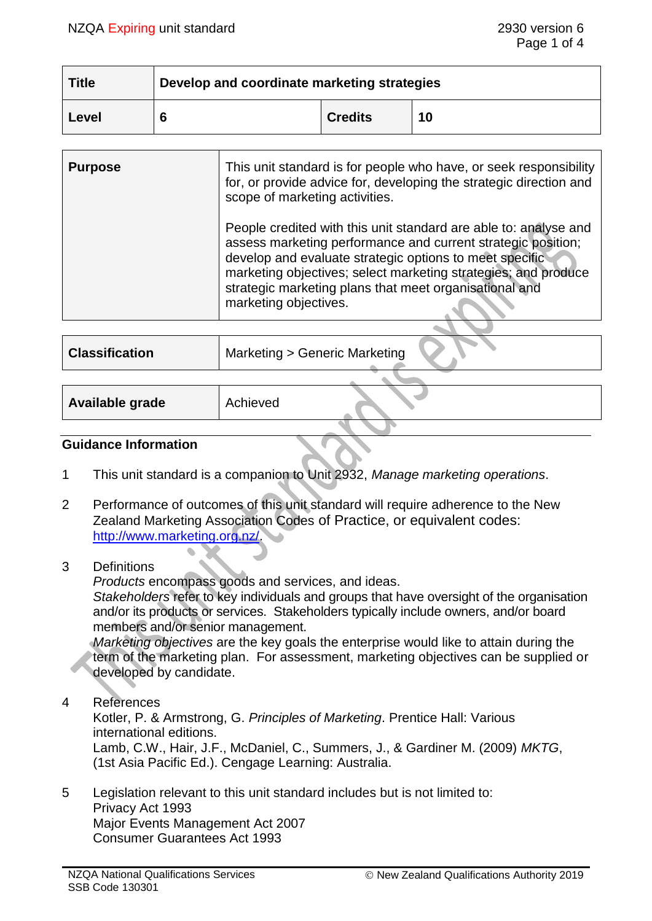| <b>Title</b> | Develop and coordinate marketing strategies |                |    |  |
|--------------|---------------------------------------------|----------------|----|--|
| Level        |                                             | <b>Credits</b> | 10 |  |

| <b>Purpose</b>        | This unit standard is for people who have, or seek responsibility<br>for, or provide advice for, developing the strategic direction and                                                                                                                                                                                                                                            |  |
|-----------------------|------------------------------------------------------------------------------------------------------------------------------------------------------------------------------------------------------------------------------------------------------------------------------------------------------------------------------------------------------------------------------------|--|
|                       | scope of marketing activities.<br>People credited with this unit standard are able to: analyse and<br>assess marketing performance and current strategic position;<br>develop and evaluate strategic options to meet specific<br>marketing objectives; select marketing strategies; and produce<br>strategic marketing plans that meet organisational and<br>marketing objectives. |  |
|                       |                                                                                                                                                                                                                                                                                                                                                                                    |  |
| <b>Classification</b> | Marketing > Generic Marketing                                                                                                                                                                                                                                                                                                                                                      |  |

| Available grade | Achieved |  |
|-----------------|----------|--|
|                 |          |  |

### **Guidance Information**

- 1 This unit standard is a companion to Unit 2932, *Manage marketing operations*.
- 2 Performance of outcomes of this unit standard will require adherence to the New Zealand Marketing Association Codes of Practice, or equivalent codes: [http://www.marketing.org.nz/.](http://www.marketing.org.nz/)
- 3 Definitions

*Products* encompass goods and services, and ideas.

*Stakeholders* refer to key individuals and groups that have oversight of the organisation and/or its products or services. Stakeholders typically include owners, and/or board members and/or senior management.

*Marketing objectives* are the key goals the enterprise would like to attain during the term of the marketing plan. For assessment, marketing objectives can be supplied or developed by candidate.

4 References

Kotler, P. & Armstrong, G. *Principles of Marketing*. Prentice Hall: Various international editions. Lamb, C.W., Hair, J.F., McDaniel, C., Summers, J., & Gardiner M. (2009) *MKTG*, (1st Asia Pacific Ed.). Cengage Learning: Australia.

5 Legislation relevant to this unit standard includes but is not limited to: Privacy Act 1993 Major Events Management Act 2007 Consumer Guarantees Act 1993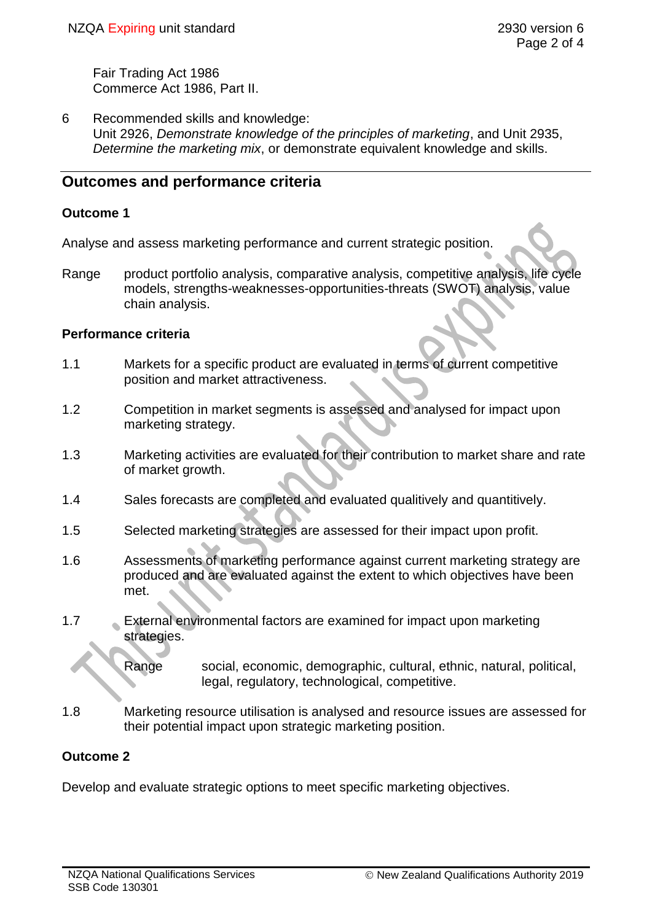Fair Trading Act 1986 Commerce Act 1986, Part II.

6 Recommended skills and knowledge: Unit 2926, *Demonstrate knowledge of the principles of marketing*, and Unit 2935, *Determine the marketing mix*, or demonstrate equivalent knowledge and skills.

# **Outcomes and performance criteria**

#### **Outcome 1**

Analyse and assess marketing performance and current strategic position.

Range product portfolio analysis, comparative analysis, competitive analysis, life cycle models, strengths-weaknesses-opportunities-threats (SWOT) analysis, value chain analysis.

#### **Performance criteria**

- 1.1 Markets for a specific product are evaluated in terms of current competitive position and market attractiveness.
- 1.2 Competition in market segments is assessed and analysed for impact upon marketing strategy.
- 1.3 Marketing activities are evaluated for their contribution to market share and rate of market growth.
- 1.4 Sales forecasts are completed and evaluated qualitively and quantitively.
- 1.5 Selected marketing strategies are assessed for their impact upon profit.
- 1.6 Assessments of marketing performance against current marketing strategy are produced and are evaluated against the extent to which objectives have been met.
- 1.7 External environmental factors are examined for impact upon marketing strategies.
	- Range social, economic, demographic, cultural, ethnic, natural, political, legal, regulatory, technological, competitive.
- 1.8 Marketing resource utilisation is analysed and resource issues are assessed for their potential impact upon strategic marketing position.

# **Outcome 2**

Develop and evaluate strategic options to meet specific marketing objectives.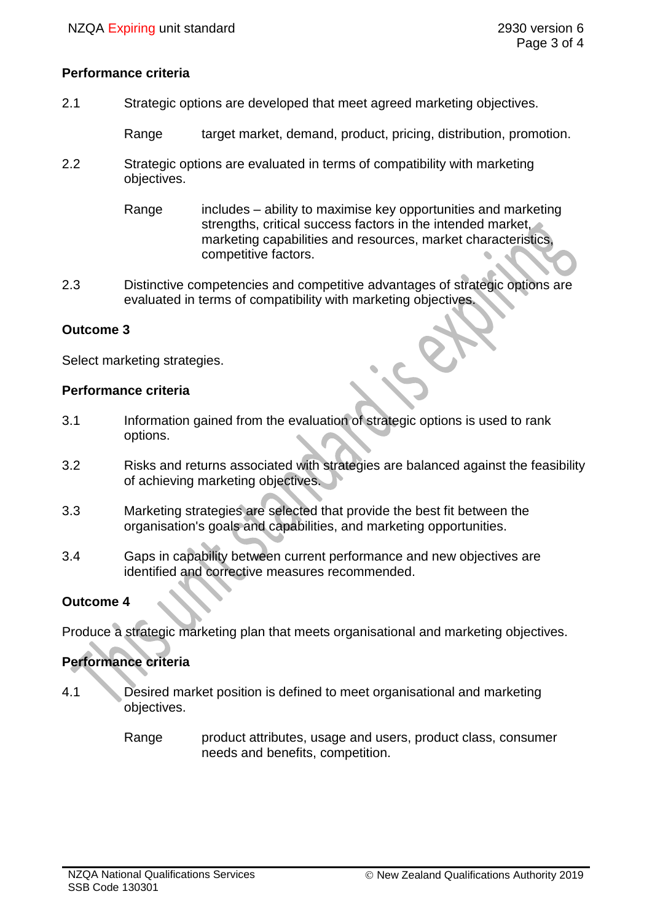### **Performance criteria**

2.1 Strategic options are developed that meet agreed marketing objectives.

Range target market, demand, product, pricing, distribution, promotion.

2.2 Strategic options are evaluated in terms of compatibility with marketing objectives.

> Range includes – ability to maximise key opportunities and marketing strengths, critical success factors in the intended market, marketing capabilities and resources, market characteristics, competitive factors.

2.3 Distinctive competencies and competitive advantages of strategic options are evaluated in terms of compatibility with marketing objectives.

#### **Outcome 3**

Select marketing strategies.

#### **Performance criteria**

- 3.1 Information gained from the evaluation of strategic options is used to rank options.
- 3.2 Risks and returns associated with strategies are balanced against the feasibility of achieving marketing objectives.
- 3.3 Marketing strategies are selected that provide the best fit between the organisation's goals and capabilities, and marketing opportunities.
- 3.4 Gaps in capability between current performance and new objectives are identified and corrective measures recommended.

# **Outcome 4**

Produce a strategic marketing plan that meets organisational and marketing objectives.

# **Performance criteria**

- 4.1 Desired market position is defined to meet organisational and marketing objectives.
	- Range product attributes, usage and users, product class, consumer needs and benefits, competition.